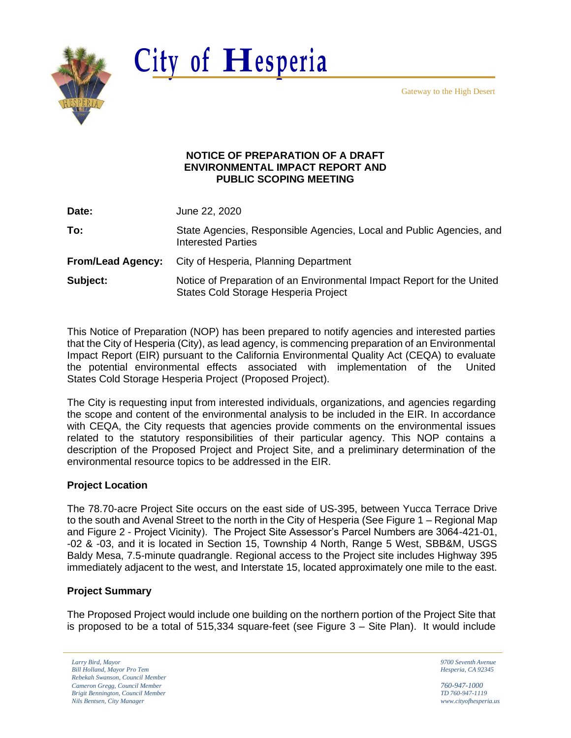Gateway to the High Desert



# **City of Hesperia**

#### **NOTICE OF PREPARATION OF A DRAFT ENVIRONMENTAL IMPACT REPORT AND PUBLIC SCOPING MEETING**

**Date:** June 22, 2020

**To:** State Agencies, Responsible Agencies, Local and Public Agencies, and Interested Parties

**From/Lead Agency:** City of Hesperia, Planning Department

**Subject:** Notice of Preparation of an Environmental Impact Report for the United States Cold Storage Hesperia Project

This Notice of Preparation (NOP) has been prepared to notify agencies and interested parties that the City of Hesperia (City), as lead agency, is commencing preparation of an Environmental Impact Report (EIR) pursuant to the California Environmental Quality Act (CEQA) to evaluate the potential environmental effects associated with implementation of the United States Cold Storage Hesperia Project (Proposed Project).

The City is requesting input from interested individuals, organizations, and agencies regarding the scope and content of the environmental analysis to be included in the EIR. In accordance with CEQA, the City requests that agencies provide comments on the environmental issues related to the statutory responsibilities of their particular agency. This NOP contains a description of the Proposed Project and Project Site, and a preliminary determination of the environmental resource topics to be addressed in the EIR.

## **Project Location**

The 78.70-acre Project Site occurs on the east side of US-395, between Yucca Terrace Drive to the south and Avenal Street to the north in the City of Hesperia (See Figure 1 – Regional Map and Figure 2 - Project Vicinity). The Project Site Assessor's Parcel Numbers are 3064-421-01, -02 & -03, and it is located in Section 15, Township 4 North, Range 5 West, SBB&M, USGS Baldy Mesa, 7.5-minute quadrangle. Regional access to the Project site includes Highway 395 immediately adjacent to the west, and Interstate 15, located approximately one mile to the east.

## **Project Summary**

The Proposed Project would include one building on the northern portion of the Project Site that is proposed to be a total of 515,334 square-feet (see Figure 3 – Site Plan). It would include

*Larry Bird, Mayor 9700 Seventh Avenue Bill Holland, Mayor Pro Tem Hesperia, CA 92345 Rebekah Swanson, Council Member Cameron Gregg, Council Member 760-947-1000 Brigit Bennington, Council Member TD 760-947-1119 Nils Bentsen, City Manager [www.cityofhesperia.us](http://www.cityofhesperia.us/)*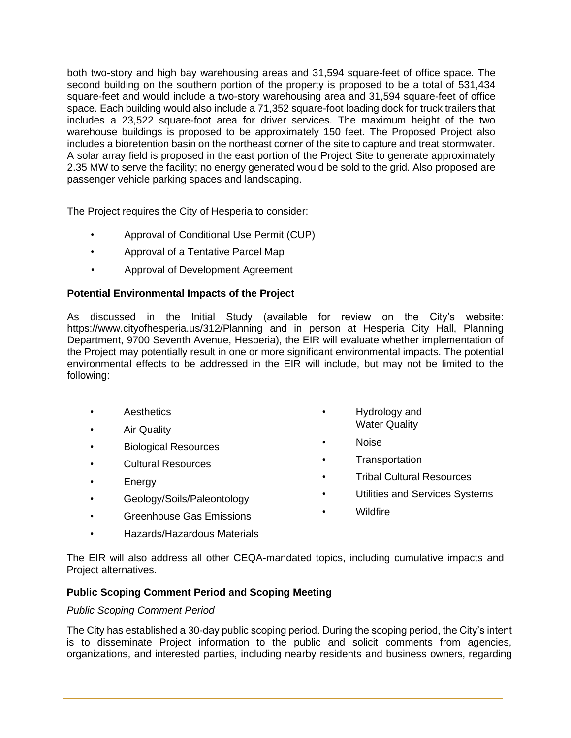both two-story and high bay warehousing areas and 31,594 square-feet of office space. The second building on the southern portion of the property is proposed to be a total of 531,434 square-feet and would include a two-story warehousing area and 31,594 square-feet of office space. Each building would also include a 71,352 square-foot loading dock for truck trailers that includes a 23,522 square-foot area for driver services. The maximum height of the two warehouse buildings is proposed to be approximately 150 feet. The Proposed Project also includes a bioretention basin on the northeast corner of the site to capture and treat stormwater. A solar array field is proposed in the east portion of the Project Site to generate approximately 2.35 MW to serve the facility; no energy generated would be sold to the grid. Also proposed are passenger vehicle parking spaces and landscaping.

The Project requires the City of Hesperia to consider:

- Approval of Conditional Use Permit (CUP)
- Approval of a Tentative Parcel Map
- Approval of Development Agreement

#### **Potential Environmental Impacts of the Project**

As discussed in the Initial Study (available for review on the City's website: https:/[/www.cityofhesperia.us/312/Planning](http://www.cityofhesperia.us/312/Planning) and in person at Hesperia City Hall, Planning Department, 9700 Seventh Avenue, Hesperia), the EIR will evaluate whether implementation of the Project may potentially result in one or more significant environmental impacts. The potential environmental effects to be addressed in the EIR will include, but may not be limited to the following:

- **Aesthetics**
- Air Quality
- Biological Resources
- Cultural Resources
- **Energy**
- Geology/Soils/Paleontology
- Greenhouse Gas Emissions
- Hazards/Hazardous Materials
- Hydrology and Water Quality
- Noise
- Transportation
- Tribal Cultural Resources
- Utilities and Services Systems
- Wildfire

The EIR will also address all other CEQA-mandated topics, including cumulative impacts and Project alternatives.

## **Public Scoping Comment Period and Scoping Meeting**

#### *Public Scoping Comment Period*

The City has established a 30-day public scoping period. During the scoping period, the City's intent is to disseminate Project information to the public and solicit comments from agencies, organizations, and interested parties, including nearby residents and business owners, regarding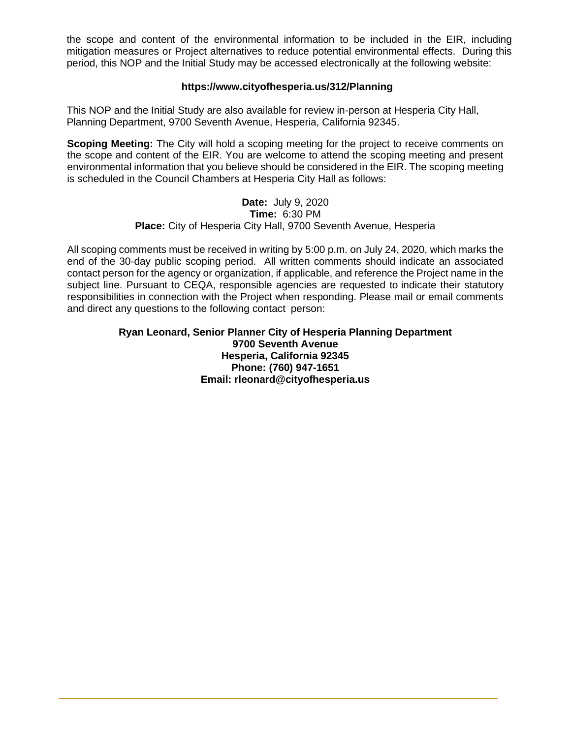the scope and content of the environmental information to be included in the EIR, including mitigation measures or Project alternatives to reduce potential environmental effects. During this period, this NOP and the Initial Study may be accessed electronically at the following website:

### **https:/[/www.cityofhesperia.us/312/Planning](http://www.cityofhesperia.us/312/Planning)**

This NOP and the Initial Study are also available for review in-person at Hesperia City Hall, Planning Department, 9700 Seventh Avenue, Hesperia, California 92345.

**Scoping Meeting:** The City will hold a scoping meeting for the project to receive comments on the scope and content of the EIR. You are welcome to attend the scoping meeting and present environmental information that you believe should be considered in the EIR. The scoping meeting is scheduled in the Council Chambers at Hesperia City Hall as follows:

#### **Date:** July 9, 2020 **Time:** 6:30 PM **Place:** City of Hesperia City Hall, 9700 Seventh Avenue, Hesperia

All scoping comments must be received in writing by 5:00 p.m. on July 24, 2020, which marks the end of the 30-day public scoping period. All written comments should indicate an associated contact person for the agency or organization, if applicable, and reference the Project name in the subject line. Pursuant to CEQA, responsible agencies are requested to indicate their statutory responsibilities in connection with the Project when responding. Please mail or email comments and direct any questions to the following contact person:

## **Ryan Leonard, Senior Planner City of Hesperia Planning Department 9700 Seventh Avenue Hesperia, California 92345 Phone: (760) 947-1651 Email: [rleonard@cityofhesperia.us](mailto:rleonard@cityofhesperia.us)**